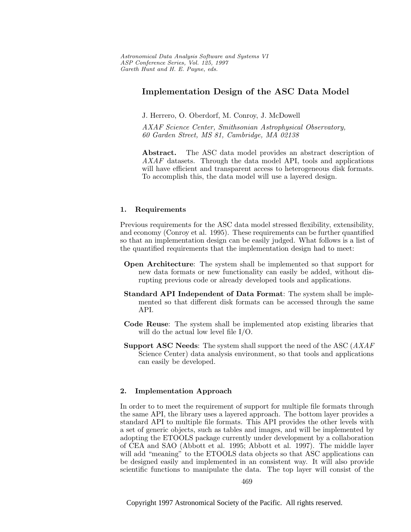# **Implementation Design of the ASC Data Model**

J. Herrero, O. Oberdorf, M. Conroy, J. McDowell

AXAF Science Center, Smithsonian Astrophysical Observatory, 60 Garden Street, MS 81, Cambridge, MA 02138

**Abstract.** The ASC data model provides an abstract description of AXAF datasets. Through the data model API, tools and applications will have efficient and transparent access to heterogeneous disk formats. To accomplish this, the data model will use a layered design.

# **1. Requirements**

Previous requirements for the ASC data model stressed flexibility, extensibility, and economy (Conroy et al. 1995). These requirements can be further quantified so that an implementation design can be easily judged. What follows is a list of the quantified requirements that the implementation design had to meet:

- **Open Architecture**: The system shall be implemented so that support for new data formats or new functionality can easily be added, without disrupting previous code or already developed tools and applications.
- **Standard API Independent of Data Format**: The system shall be implemented so that different disk formats can be accessed through the same API.
- **Code Reuse**: The system shall be implemented atop existing libraries that will do the actual low level file I/O.
- **Support ASC Needs**: The system shall support the need of the ASC (AXAF Science Center) data analysis environment, so that tools and applications can easily be developed.

# **2. Implementation Approach**

In order to to meet the requirement of support for multiple file formats through the same API, the library uses a layered approach. The bottom layer provides a standard API to multiple file formats. This API provides the other levels with a set of generic objects, such as tables and images, and will be implemented by adopting the ETOOLS package currently under development by a collaboration of CEA and SAO (Abbott et al. 1995; Abbott et al. 1997). The middle layer will add "meaning" to the ETOOLS data objects so that ASC applications can be designed easily and implemented in an consistent way. It will also provide scientific functions to manipulate the data. The top layer will consist of the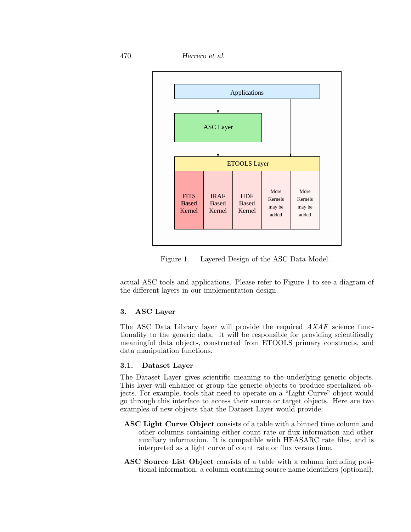470 *Herrero et al.*



Figure 1. Layered Design of the ASC Data Model.

actual ASC tools and applications. Please refer to Figure 1 to see a diagram of the different layers in our implementation design.

# **3. ASC Layer**

The ASC Data Library layer will provide the required  $AXAF$  science functionality to the generic data. It will be responsible for providing scientifically meaningful data objects, constructed from ETOOLS primary constructs, and data manipulation functions.

# **3.1. Dataset Layer**

The Dataset Layer gives scientific meaning to the underlying generic objects. This layer will enhance or group the generic objects to produce specialized objects. For example, tools that need to operate on a "Light Curve" object would go through this interface to access their source or target objects. Here are two examples of new objects that the Dataset Layer would provide:

- **ASC Light Curve Object** consists of a table with a binned time column and other columns containing either count rate or flux information and other auxiliary information. It is compatible with HEASARC rate files, and is interpreted as a light curve of count rate or flux versus time.
- **ASC Source List Object** consists of a table with a column including positional information, a column containing source name identifiers (optional),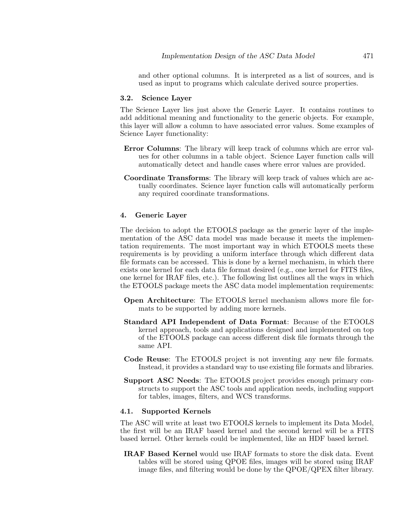and other optional columns. It is interpreted as a list of sources, and is used as input to programs which calculate derived source properties.

#### **3.2. Science Layer**

The Science Layer lies just above the Generic Layer. It contains routines to add additional meaning and functionality to the generic objects. For example, this layer will allow a column to have associated error values. Some examples of Science Layer functionality:

- **Error Columns**: The library will keep track of columns which are error values for other columns in a table object. Science Layer function calls will automatically detect and handle cases where error values are provided.
- **Coordinate Transforms**: The library will keep track of values which are actually coordinates. Science layer function calls will automatically perform any required coordinate transformations.

# **4. Generic Layer**

The decision to adopt the ETOOLS package as the generic layer of the implementation of the ASC data model was made because it meets the implementation requirements. The most important way in which ETOOLS meets these requirements is by providing a uniform interface through which different data file formats can be accessed. This is done by a kernel mechanism, in which there exists one kernel for each data file format desired (e.g., one kernel for FITS files, one kernel for IRAF files, etc.). The following list outlines all the ways in which the ETOOLS package meets the ASC data model implementation requirements:

- **Open Architecture**: The ETOOLS kernel mechanism allows more file formats to be supported by adding more kernels.
- **Standard API Independent of Data Format**: Because of the ETOOLS kernel approach, tools and applications designed and implemented on top of the ETOOLS package can access different disk file formats through the same API.
- **Code Reuse**: The ETOOLS project is not inventing any new file formats. Instead, it provides a standard way to use existing file formats and libraries.
- **Support ASC Needs**: The ETOOLS project provides enough primary constructs to support the ASC tools and application needs, including support for tables, images, filters, and WCS transforms.

#### **4.1. Supported Kernels**

The ASC will write at least two ETOOLS kernels to implement its Data Model, the first will be an IRAF based kernel and the second kernel will be a FITS based kernel. Other kernels could be implemented, like an HDF based kernel.

**IRAF Based Kernel** would use IRAF formats to store the disk data. Event tables will be stored using QPOE files, images will be stored using IRAF image files, and filtering would be done by the QPOE/QPEX filter library.